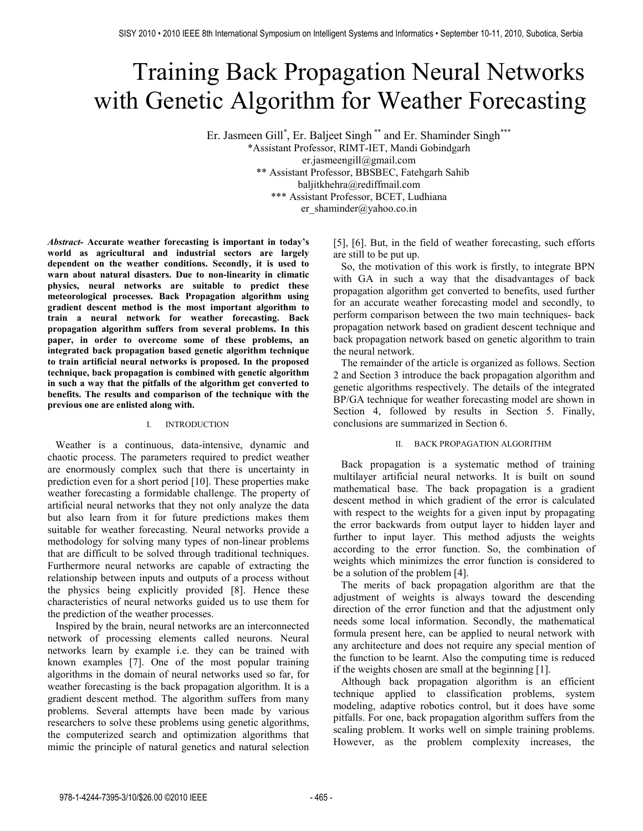# Training Back Propagation Neural Networks with Genetic Algorithm for Weather Forecasting

Er. Jasmeen Gill<sup>\*</sup>, Er. Baljeet Singh<sup>\*\*</sup> and Er. Shaminder Singh<sup>\*\*\*</sup> \*Assistant Professor, RIMT-IET, Mandi Gobindgarh er.jasmeengill@gmail.com \*\* Assistant Professor, BBSBEC, Fatehgarh Sahib baljitkhehra@rediffmail.com \*\*\* Assistant Professor, BCET, Ludhiana er\_shaminder@yahoo.co.in

*Abstract-* **Accurate weather forecasting is important in today's world as agricultural and industrial sectors are largely dependent on the weather conditions. Secondly, it is used to warn about natural disasters. Due to non-linearity in climatic physics, neural networks are suitable to predict these meteorological processes. Back Propagation algorithm using gradient descent method is the most important algorithm to train a neural network for weather forecasting. Back propagation algorithm suffers from several problems. In this paper, in order to overcome some of these problems, an integrated back propagation based genetic algorithm technique to train artificial neural networks is proposed. In the proposed technique, back propagation is combined with genetic algorithm in such a way that the pitfalls of the algorithm get converted to benefits. The results and comparison of the technique with the previous one are enlisted along with.**

## I. INTRODUCTION

 Weather is a continuous, data-intensive, dynamic and chaotic process. The parameters required to predict weather are enormously complex such that there is uncertainty in prediction even for a short period [10]. These properties make weather forecasting a formidable challenge. The property of artificial neural networks that they not only analyze the data but also learn from it for future predictions makes them suitable for weather forecasting. Neural networks provide a methodology for solving many types of non-linear problems that are difficult to be solved through traditional techniques. Furthermore neural networks are capable of extracting the relationship between inputs and outputs of a process without the physics being explicitly provided [8]. Hence these characteristics of neural networks guided us to use them for the prediction of the weather processes.

 Inspired by the brain, neural networks are an interconnected network of processing elements called neurons. Neural networks learn by example i.e. they can be trained with known examples [7]. One of the most popular training algorithms in the domain of neural networks used so far, for weather forecasting is the back propagation algorithm. It is a gradient descent method. The algorithm suffers from many problems. Several attempts have been made by various researchers to solve these problems using genetic algorithms, the computerized search and optimization algorithms that mimic the principle of natural genetics and natural selection [5], [6]. But, in the field of weather forecasting, such efforts are still to be put up.

 So, the motivation of this work is firstly, to integrate BPN with GA in such a way that the disadvantages of back propagation algorithm get converted to benefits, used further for an accurate weather forecasting model and secondly, to perform comparison between the two main techniques- back propagation network based on gradient descent technique and back propagation network based on genetic algorithm to train the neural network.

 The remainder of the article is organized as follows. Section 2 and Section 3 introduce the back propagation algorithm and genetic algorithms respectively. The details of the integrated BP/GA technique for weather forecasting model are shown in Section 4, followed by results in Section 5. Finally, conclusions are summarized in Section 6.

## II. BACK PROPAGATION ALGORITHM

 Back propagation is a systematic method of training multilayer artificial neural networks. It is built on sound mathematical base. The back propagation is a gradient descent method in which gradient of the error is calculated with respect to the weights for a given input by propagating the error backwards from output layer to hidden layer and further to input layer. This method adjusts the weights according to the error function. So, the combination of weights which minimizes the error function is considered to be a solution of the problem [4].

 The merits of back propagation algorithm are that the adjustment of weights is always toward the descending direction of the error function and that the adjustment only needs some local information. Secondly, the mathematical formula present here, can be applied to neural network with any architecture and does not require any special mention of the function to be learnt. Also the computing time is reduced if the weights chosen are small at the beginning [1].

 Although back propagation algorithm is an efficient technique applied to classification problems, system modeling, adaptive robotics control, but it does have some pitfalls. For one, back propagation algorithm suffers from the scaling problem. It works well on simple training problems. However, as the problem complexity increases, the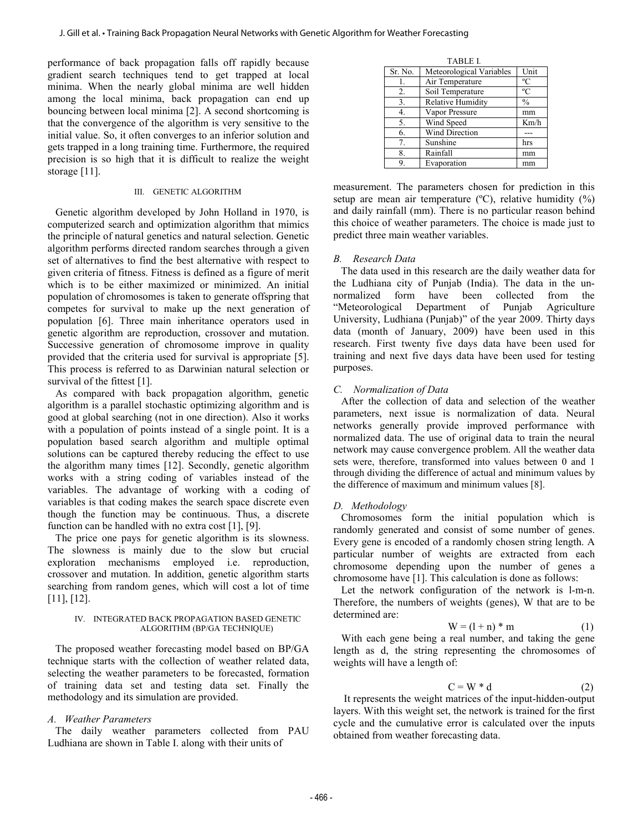performance of back propagation falls off rapidly because gradient search techniques tend to get trapped at local minima. When the nearly global minima are well hidden among the local minima, back propagation can end up bouncing between local minima [2]. A second shortcoming is that the convergence of the algorithm is very sensitive to the initial value. So, it often converges to an inferior solution and gets trapped in a long training time. Furthermore, the required precision is so high that it is difficult to realize the weight storage [11].

## III. GENETIC ALGORITHM

 Genetic algorithm developed by John Holland in 1970, is computerized search and optimization algorithm that mimics the principle of natural genetics and natural selection. Genetic algorithm performs directed random searches through a given set of alternatives to find the best alternative with respect to given criteria of fitness. Fitness is defined as a figure of merit which is to be either maximized or minimized. An initial population of chromosomes is taken to generate offspring that competes for survival to make up the next generation of population [6]. Three main inheritance operators used in genetic algorithm are reproduction, crossover and mutation. Successive generation of chromosome improve in quality provided that the criteria used for survival is appropriate [5]. This process is referred to as Darwinian natural selection or survival of the fittest [1].

 As compared with back propagation algorithm, genetic algorithm is a parallel stochastic optimizing algorithm and is good at global searching (not in one direction). Also it works with a population of points instead of a single point. It is a population based search algorithm and multiple optimal solutions can be captured thereby reducing the effect to use the algorithm many times [12]. Secondly, genetic algorithm works with a string coding of variables instead of the variables. The advantage of working with a coding of variables is that coding makes the search space discrete even though the function may be continuous. Thus, a discrete function can be handled with no extra cost [1], [9].

 The price one pays for genetic algorithm is its slowness. The slowness is mainly due to the slow but crucial exploration mechanisms employed i.e. reproduction, crossover and mutation. In addition, genetic algorithm starts searching from random genes, which will cost a lot of time [11], [12].

## IV. INTEGRATED BACK PROPAGATION BASED GENETIC ALGORITHM (BP/GA TECHNIQUE)

 The proposed weather forecasting model based on BP/GA technique starts with the collection of weather related data, selecting the weather parameters to be forecasted, formation of training data set and testing data set. Finally the methodology and its simulation are provided.

# *A. Weather Parameters*

 The daily weather parameters collected from PAU Ludhiana are shown in Table I. along with their units of

| <b>TABLE L</b> |                          |               |  |
|----------------|--------------------------|---------------|--|
| Sr. No.        | Meteorological Variables | Unit          |  |
| 1.             | Air Temperature          | $\rm ^{o}C$   |  |
| 2.             | Soil Temperature         | $\rm ^{o}C$   |  |
| 3.             | <b>Relative Humidity</b> | $\frac{0}{0}$ |  |
| 4.             | Vapor Pressure           | mm            |  |
| 5.             | Wind Speed               | Km/h          |  |
| 6.             | <b>Wind Direction</b>    |               |  |
| 7.             | Sunshine                 | hrs           |  |
| 8.             | Rainfall                 | mm            |  |
| 9.             | Evaporation              | mm            |  |

measurement. The parameters chosen for prediction in this setup are mean air temperature  $({}^{\circ}C)$ , relative humidity  $({}^{\circ}\%)$ and daily rainfall (mm). There is no particular reason behind this choice of weather parameters. The choice is made just to predict three main weather variables.

## *B. Research Data*

 The data used in this research are the daily weather data for the Ludhiana city of Punjab (India). The data in the unnormalized form have been collected from the "Meteorological Department of Punjab Agriculture University, Ludhiana (Punjab)" of the year 2009. Thirty days data (month of January, 2009) have been used in this research. First twenty five days data have been used for training and next five days data have been used for testing purposes.

# *C. Normalization of Data*

 After the collection of data and selection of the weather parameters, next issue is normalization of data. Neural networks generally provide improved performance with normalized data. The use of original data to train the neural network may cause convergence problem. All the weather data sets were, therefore, transformed into values between 0 and 1 through dividing the difference of actual and minimum values by the difference of maximum and minimum values [8].

# *D. Methodology*

 Chromosomes form the initial population which is randomly generated and consist of some number of genes. Every gene is encoded of a randomly chosen string length. A particular number of weights are extracted from each chromosome depending upon the number of genes a chromosome have [1]. This calculation is done as follows:

 Let the network configuration of the network is l-m-n. Therefore, the numbers of weights (genes), W that are to be determined are:

$$
W = (l + n) * m \tag{1}
$$

 With each gene being a real number, and taking the gene length as d, the string representing the chromosomes of weights will have a length of:

$$
C = W * d \tag{2}
$$

 It represents the weight matrices of the input-hidden-output layers. With this weight set, the network is trained for the first cycle and the cumulative error is calculated over the inputs obtained from weather forecasting data.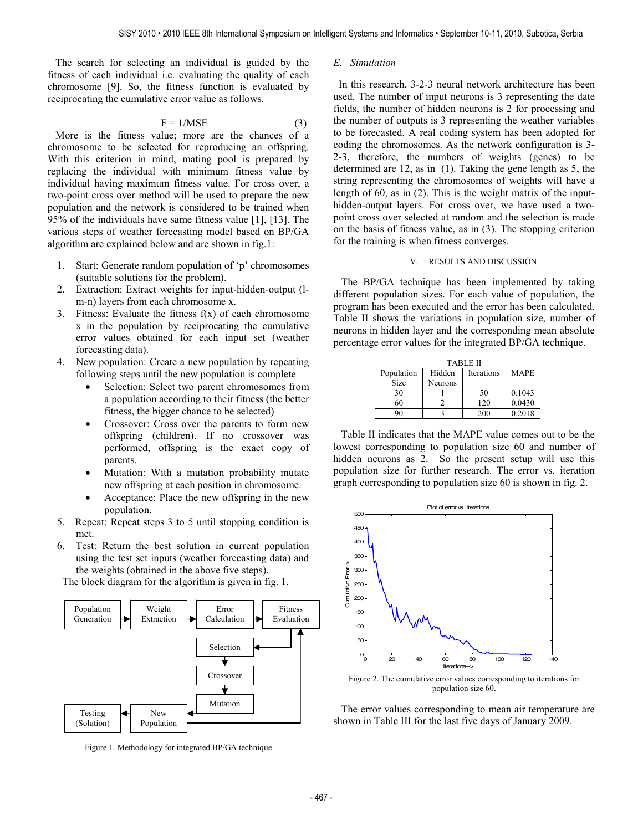The search for selecting an individual is guided by the fitness of each individual i.e. evaluating the quality of each chromosome [9]. So, the fitness function is evaluated by reciprocating the cumulative error value as follows.

$$
F = 1/MSE
$$
 (3)

 More is the fitness value; more are the chances of a chromosome to be selected for reproducing an offspring. With this criterion in mind, mating pool is prepared by replacing the individual with minimum fitness value by individual having maximum fitness value. For cross over, a two-point cross over method will be used to prepare the new population and the network is considered to be trained when 95% of the individuals have same fitness value [1], [13]. The various steps of weather forecasting model based on BP/GA algorithm are explained below and are shown in fig.1:

- 1. Start: Generate random population of 'p' chromosomes (suitable solutions for the problem).
- 2. Extraction: Extract weights for input-hidden-output (lm-n) layers from each chromosome x.
- 3. Fitness: Evaluate the fitness  $f(x)$  of each chromosome x in the population by reciprocating the cumulative error values obtained for each input set (weather forecasting data).
- 4. New population: Create a new population by repeating following steps until the new population is complete
	- Selection: Select two parent chromosomes from a population according to their fitness (the better fitness, the bigger chance to be selected)
	- Crossover: Cross over the parents to form new offspring (children). If no crossover was performed, offspring is the exact copy of parents.
	- Mutation: With a mutation probability mutate new offspring at each position in chromosome.
	- Acceptance: Place the new offspring in the new population.
- 5. Repeat: Repeat steps 3 to 5 until stopping condition is met.
- 6. Test: Return the best solution in current population using the test set inputs (weather forecasting data) and the weights (obtained in the above five steps).

The block diagram for the algorithm is given in fig. 1.



Figure 1. Methodology for integrated BP/GA technique

#### *E. Simulation*

 In this research, 3-2-3 neural network architecture has been used. The number of input neurons is 3 representing the date fields, the number of hidden neurons is 2 for processing and the number of outputs is 3 representing the weather variables to be forecasted. A real coding system has been adopted for coding the chromosomes. As the network configuration is 3- 2-3, therefore, the numbers of weights (genes) to be determined are 12, as in (1). Taking the gene length as 5, the string representing the chromosomes of weights will have a length of 60, as in (2). This is the weight matrix of the inputhidden-output layers. For cross over, we have used a twopoint cross over selected at random and the selection is made on the basis of fitness value, as in (3). The stopping criterion for the training is when fitness converges.

## V. RESULTS AND DISCUSSION

 The BP/GA technique has been implemented by taking different population sizes. For each value of population, the program has been executed and the error has been calculated. Table II shows the variations in population size, number of neurons in hidden layer and the corresponding mean absolute percentage error values for the integrated BP/GA technique.

| <b>TABLE II</b> |                |            |             |
|-----------------|----------------|------------|-------------|
| Population      | Hidden         | Iterations | <b>MAPE</b> |
| Size            | <b>Neurons</b> |            |             |
| 30              |                | 50         | 0.1043      |
| 60              |                | 120        | 0.0430      |
|                 |                | 200        | 0.2018      |

 Table II indicates that the MAPE value comes out to be the lowest corresponding to population size 60 and number of hidden neurons as 2. So the present setup will use this population size for further research. The error vs. iteration graph corresponding to population size 60 is shown in fig. 2.



Figure 2. The cumulative error values corresponding to iterations for population size 60.

 The error values corresponding to mean air temperature are shown in Table III for the last five days of January 2009.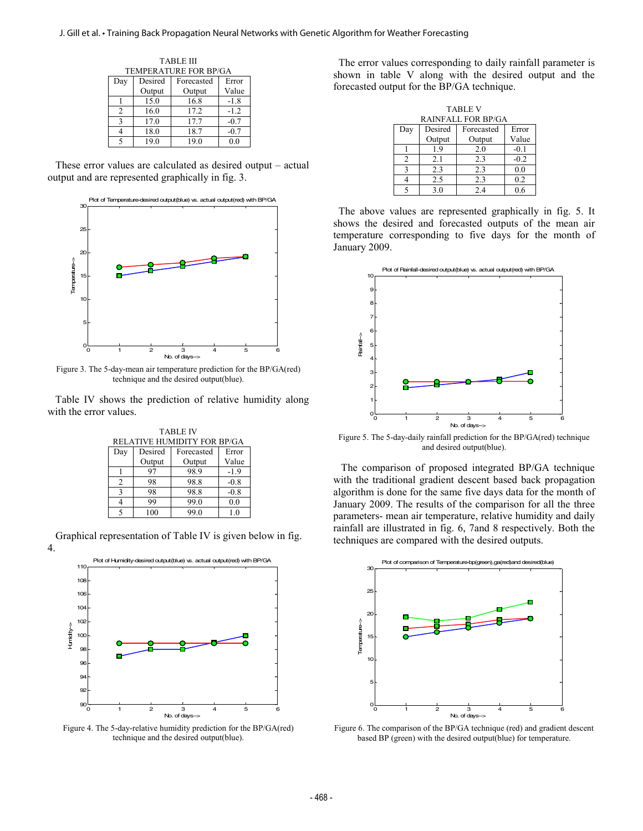| TABLE III                    |         |            |        |
|------------------------------|---------|------------|--------|
| <b>TEMPERATURE FOR BP/GA</b> |         |            |        |
| Day                          | Desired | Forecasted | Error  |
|                              | Output  | Output     | Value  |
|                              | 15.0    | 16.8       | $-1.8$ |
| $\mathfrak{D}$               | 16.0    | 17.2       | $-1.2$ |
| 3                            | 17.0    | 17.7       | $-0.7$ |
|                              | 18.0    | 18.7       | $-07$  |
|                              | 19.0    | 19.0       | 0 0    |

 These error values are calculated as desired output – actual output and are represented graphically in fig. 3.



Figure 3. The 5-day-mean air temperature prediction for the BP/GA(red) technique and the desired output(blue).

 Table IV shows the prediction of relative humidity along with the error values.

| <b>TABLE IV</b>             |         |            |        |
|-----------------------------|---------|------------|--------|
| RELATIVE HUMIDITY FOR BP/GA |         |            |        |
| Day                         | Desired | Forecasted | Error  |
|                             | Output  | Output     | Value  |
|                             | 97      | 98.9       | $-1.9$ |
| $\mathfrak{D}$              | 98      | 98.8       | $-0.8$ |
| $\mathbf{R}$                | 98      | 98.8       | $-0.8$ |
|                             | 99      | 99.0       | 0.0    |
|                             | 100     | 990        | 10     |

 Graphical representation of Table IV is given below in fig. 4.



Figure 4. The 5-day-relative humidity prediction for the BP/GA(red) technique and the desired output(blue).

 The error values corresponding to daily rainfall parameter is shown in table V along with the desired output and the forecasted output for the BP/GA technique.

| <b>TABLE V</b>            |         |            |        |
|---------------------------|---------|------------|--------|
| <b>RAINFALL FOR BP/GA</b> |         |            |        |
| Day                       | Desired | Forecasted | Error  |
|                           | Output  | Output     | Value  |
|                           | 1.9     | 2.0        | $-0.1$ |
| 2                         | 2.1     | 2.3        | $-0.2$ |
| $\mathbf{R}$              | 2.3     | 2.3        | 0.0    |
|                           | 2.5     | 2.3        | 0.2    |
| 5                         | 3.0     | 2.4        | 0.6    |

 The above values are represented graphically in fig. 5. It shows the desired and forecasted outputs of the mean air temperature corresponding to five days for the month of January 2009.



Figure 5. The 5-day-daily rainfall prediction for the BP/GA(red) technique and desired output(blue).

 The comparison of proposed integrated BP/GA technique with the traditional gradient descent based back propagation algorithm is done for the same five days data for the month of January 2009. The results of the comparison for all the three parameters- mean air temperature, relative humidity and daily rainfall are illustrated in fig. 6, 7and 8 respectively. Both the techniques are compared with the desired outputs.



Figure 6. The comparison of the BP/GA technique (red) and gradient descent based BP (green) with the desired output(blue) for temperature.